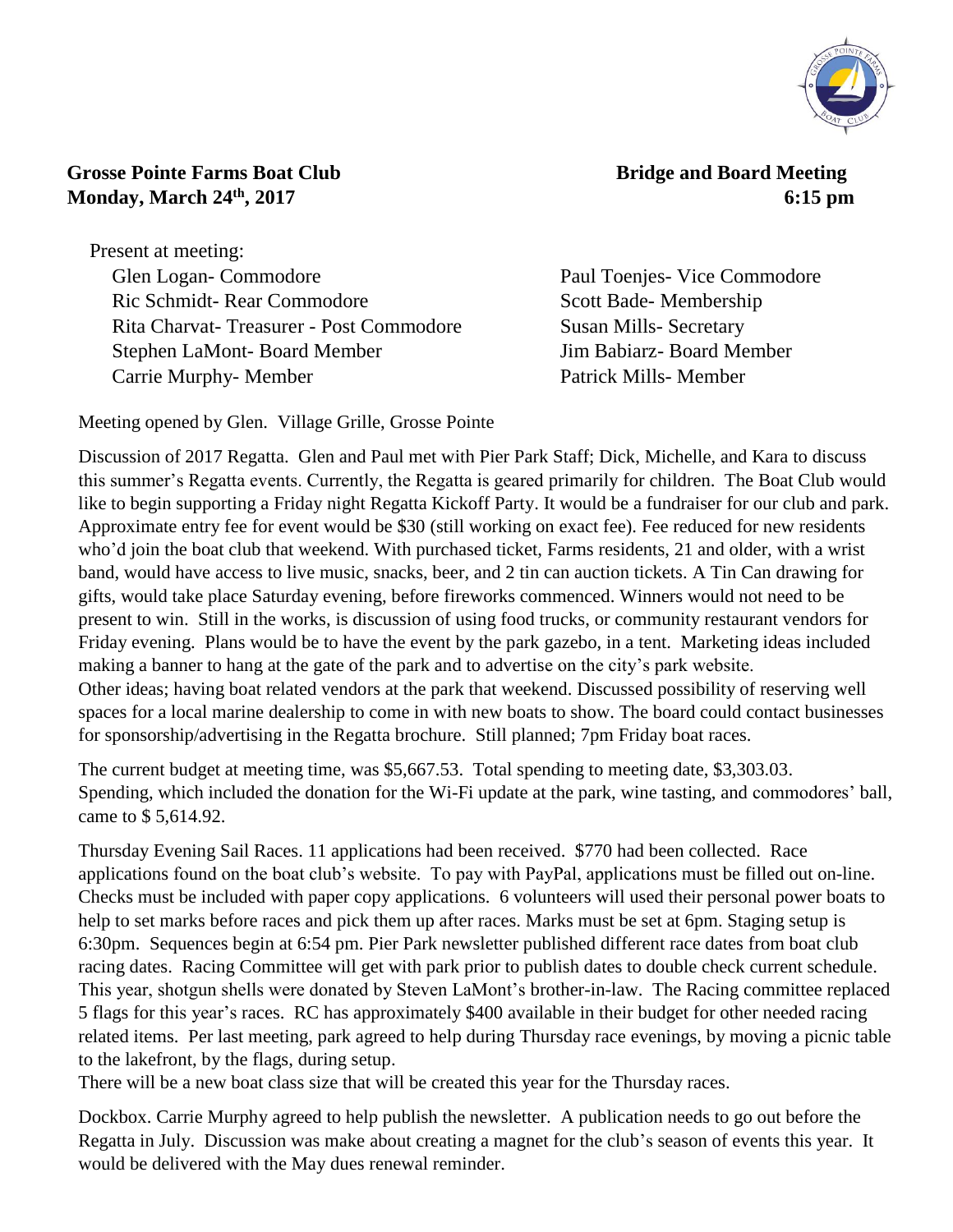

## **Crosse Pointe Farms Boat Club Bridge and Board Meeting Monday, March 24th**

Present at meeting: Glen Logan- Commodore Paul Toenjes- Vice Commodore Ric Schmidt- Rear Commodore Scott Bade- Membership Rita Charvat- Treasurer - Post Commodore Susan Mills- Secretary Stephen LaMont- Board Member Jim Babiarz- Board Member Carrie Murphy- Member Patrick Mills- Member

**, 2017 6:15 pm**

Meeting opened by Glen. Village Grille, Grosse Pointe

Discussion of 2017 Regatta. Glen and Paul met with Pier Park Staff; Dick, Michelle, and Kara to discuss this summer's Regatta events. Currently, the Regatta is geared primarily for children. The Boat Club would like to begin supporting a Friday night Regatta Kickoff Party. It would be a fundraiser for our club and park. Approximate entry fee for event would be \$30 (still working on exact fee). Fee reduced for new residents who'd join the boat club that weekend. With purchased ticket, Farms residents, 21 and older, with a wrist band, would have access to live music, snacks, beer, and 2 tin can auction tickets. A Tin Can drawing for gifts, would take place Saturday evening, before fireworks commenced. Winners would not need to be present to win. Still in the works, is discussion of using food trucks, or community restaurant vendors for Friday evening. Plans would be to have the event by the park gazebo, in a tent. Marketing ideas included making a banner to hang at the gate of the park and to advertise on the city's park website. Other ideas; having boat related vendors at the park that weekend. Discussed possibility of reserving well spaces for a local marine dealership to come in with new boats to show. The board could contact businesses for sponsorship/advertising in the Regatta brochure. Still planned; 7pm Friday boat races.

The current budget at meeting time, was \$5,667.53. Total spending to meeting date, \$3,303.03. Spending, which included the donation for the Wi-Fi update at the park, wine tasting, and commodores' ball, came to \$ 5,614.92.

Thursday Evening Sail Races. 11 applications had been received. \$770 had been collected. Race applications found on the boat club's website. To pay with PayPal, applications must be filled out on-line. Checks must be included with paper copy applications. 6 volunteers will used their personal power boats to help to set marks before races and pick them up after races. Marks must be set at 6pm. Staging setup is 6:30pm. Sequences begin at 6:54 pm. Pier Park newsletter published different race dates from boat club racing dates. Racing Committee will get with park prior to publish dates to double check current schedule. This year, shotgun shells were donated by Steven LaMont's brother-in-law. The Racing committee replaced 5 flags for this year's races. RC has approximately \$400 available in their budget for other needed racing related items. Per last meeting, park agreed to help during Thursday race evenings, by moving a picnic table to the lakefront, by the flags, during setup.

There will be a new boat class size that will be created this year for the Thursday races.

Dockbox. Carrie Murphy agreed to help publish the newsletter. A publication needs to go out before the Regatta in July. Discussion was make about creating a magnet for the club's season of events this year. It would be delivered with the May dues renewal reminder.